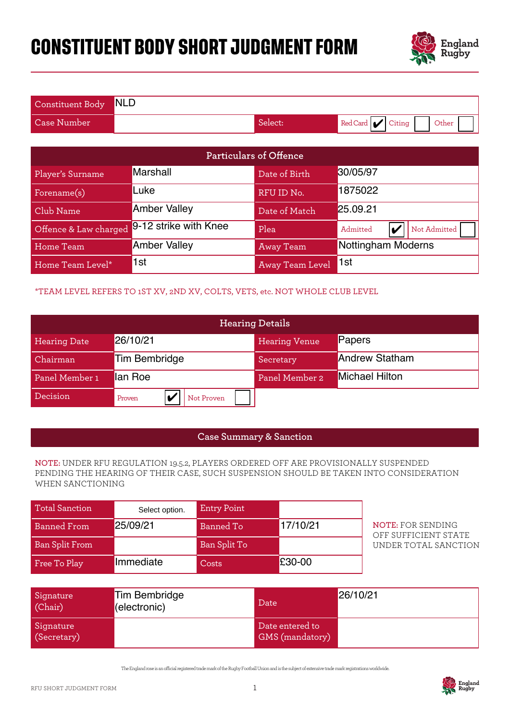# **CONSTITUENT BODY SHORT JUDGMENT FORM**



| Constituent Body NLD |         |                          |
|----------------------|---------|--------------------------|
| <b>Case Number</b>   | Select: | Red Card Citing<br>Other |

|                       |                                                                              |                    | <b>Particulars of Offence</b>      |                                                                                                                                                                             |  |
|-----------------------|------------------------------------------------------------------------------|--------------------|------------------------------------|-----------------------------------------------------------------------------------------------------------------------------------------------------------------------------|--|
| Player's Surname      | Marshall                                                                     |                    | Date of Birth                      | 30/05/97                                                                                                                                                                    |  |
| Forename(s)           | Luke                                                                         |                    | RFU ID No.                         | 1875022                                                                                                                                                                     |  |
| Club Name             | <b>Amber Valley</b>                                                          |                    |                                    | 25.09.21                                                                                                                                                                    |  |
| Offence & Law charged | 9-12 strike with Knee<br>Plea<br>Admitted<br>V                               |                    | Not Admitted                       |                                                                                                                                                                             |  |
| Home Team             | <b>Amber Valley</b>                                                          |                    | <b>Away Team</b>                   | Nottingham Moderns                                                                                                                                                          |  |
| Home Team Level*      | 1st                                                                          |                    | Away Team Level                    | 1st                                                                                                                                                                         |  |
|                       | *TEAM LEVEL REFERS TO 1ST XV, 2ND XV, COLTS, VETS, etc. NOT WHOLE CLUB LEVEL |                    |                                    |                                                                                                                                                                             |  |
|                       |                                                                              |                    | <b>Hearing Details</b>             |                                                                                                                                                                             |  |
| <b>Hearing Date</b>   | 26/10/21                                                                     |                    | <b>Hearing Venue</b>               | Papers                                                                                                                                                                      |  |
| Chairman              | <b>Tim Bembridge</b>                                                         |                    | Secretary                          | <b>Andrew Statham</b>                                                                                                                                                       |  |
| Panel Member 1        | lan Roe                                                                      |                    | Panel Member 2                     | Michael Hilton                                                                                                                                                              |  |
| Decision              | V<br>Not Proven<br>Proven                                                    |                    |                                    |                                                                                                                                                                             |  |
|                       |                                                                              |                    |                                    |                                                                                                                                                                             |  |
|                       |                                                                              |                    | <b>Case Summary &amp; Sanction</b> |                                                                                                                                                                             |  |
| WHEN SANCTIONING      |                                                                              |                    |                                    | NOTE: UNDER RFU REGULATION 19.5.2, PLAYERS ORDERED OFF ARE PROVISIONALLY SUSPENDED<br>PENDING THE HEARING OF THEIR CASE, SUCH SUSPENSION SHOULD BE TAKEN INTO CONSIDERATION |  |
| <b>Total Sanction</b> | Select option.                                                               | <b>Entry Point</b> |                                    |                                                                                                                                                                             |  |
| <b>Banned From</b>    | 25/09/21                                                                     | <b>Banned To</b>   | 17/10/21                           | <b>NOTE: FOR SENDING</b><br>OFF SUFFICIENT STATE                                                                                                                            |  |
| <b>Ban Split From</b> |                                                                              | Ban Split To       |                                    | UNDER TOTAL SANCTION                                                                                                                                                        |  |
| Free To Play          | Immediate                                                                    | Costs              | £30-00                             |                                                                                                                                                                             |  |

### \*TEAM LEVEL REFERS TO 1ST XV, 2ND XV, COLTS, VETS, etc. NOT WHOLE CLUB LEVEL

| Offence & Law charged | 9-12 strike with Knee                                                              |                    | Plea                               | Admitted                  | Not Admitted<br>V                                                                     |
|-----------------------|------------------------------------------------------------------------------------|--------------------|------------------------------------|---------------------------|---------------------------------------------------------------------------------------|
| Home Team             | <b>Amber Valley</b>                                                                |                    | <b>Away Team</b>                   | <b>Nottingham Moderns</b> |                                                                                       |
| Home Team Level*      | 1st                                                                                |                    | Away Team Level                    | 1st                       |                                                                                       |
|                       | *TEAM LEVEL REFERS TO 1ST XV, 2ND XV, COLTS, VETS, etc. NOT WHOLE CLUB LEVEL       |                    |                                    |                           |                                                                                       |
|                       |                                                                                    |                    | <b>Hearing Details</b>             |                           |                                                                                       |
| <b>Hearing Date</b>   | 26/10/21                                                                           |                    | <b>Hearing Venue</b>               | Papers                    |                                                                                       |
| Chairman              | <b>Tim Bembridge</b>                                                               |                    | Secretary                          | <b>Andrew Statham</b>     |                                                                                       |
| Panel Member 1        | lan Roe                                                                            |                    | Panel Member 2                     | Michael Hilton            |                                                                                       |
| Decision              | IV<br>Proven                                                                       | Not Proven         |                                    |                           |                                                                                       |
|                       |                                                                                    |                    |                                    |                           |                                                                                       |
|                       |                                                                                    |                    | <b>Case Summary &amp; Sanction</b> |                           |                                                                                       |
| WHEN SANCTIONING      | NOTE: UNDER RFU REGULATION 19.5.2, PLAYERS ORDERED OFF ARE PROVISIONALLY SUSPENDED |                    |                                    |                           | PENDING THE HEARING OF THEIR CASE, SUCH SUSPENSION SHOULD BE TAKEN INTO CONSIDERATION |
| <b>Total Sanction</b> | Select option.                                                                     | <b>Entry Point</b> |                                    |                           |                                                                                       |
| <b>Banned From</b>    | 25/09/21                                                                           | <b>Banned To</b>   | 17/10/21                           |                           | <b>NOTE: FOR SENDING</b><br>OFF SUFFICIENT STATE                                      |
| <b>Ban Split From</b> |                                                                                    | Ban Split To       |                                    |                           | UNDER TOTAL SANCTION                                                                  |
| Free To Play          | Immediate                                                                          | Costs              | £30-00                             |                           |                                                                                       |
|                       |                                                                                    |                    |                                    |                           |                                                                                       |
| Signature<br>(Chair)  | <b>Tim Bembridge</b><br>(electronic)                                               |                    | Date                               | 26/10/21                  |                                                                                       |

#### **Case Summary & Sanction**

#### **NOTE:** UNDER RFU REGULATION 19.5.2, PLAYERS ORDERED OFF ARE PROVISIONALLY SUSPENDED PENDING THE HEARING OF THEIR CASE, SUCH SUSPENSION SHOULD BE TAKEN INTO CONSIDERATION WHEN SANCTIONING

| Total Sanction        | Select option. | <b>Entry Point</b> |          |
|-----------------------|----------------|--------------------|----------|
| Banned From           | 25/09/21       | Banned To          | 17/10/21 |
| <b>Ban Split From</b> |                | Ban Split To       |          |
| Free To Play          | Immediate      | Costs              | £30-00   |

| Signature<br>(Chair)     | Tim Bembridge<br>(electronic) | Date                                      | 26/10/21 |
|--------------------------|-------------------------------|-------------------------------------------|----------|
| Signature<br>(Secretary) |                               | Date entered to<br><b>GMS</b> (mandatory) |          |

The England rose is an ocial registered trade mark of the Rugby Football Union and is the subject of extensive trade mark registrations worldwide.

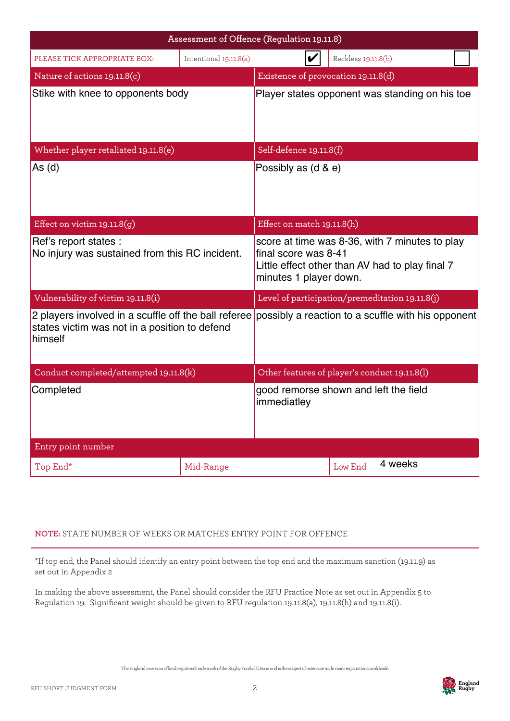|                                                                         |                        | Assessment of Offence (Regulation 19.11.8)                                                                                                          |                     |  |
|-------------------------------------------------------------------------|------------------------|-----------------------------------------------------------------------------------------------------------------------------------------------------|---------------------|--|
| PLEASE TICK APPROPRIATE BOX:                                            | Intentional 19.11.8(a) | V                                                                                                                                                   | Reckless 19.11.8(b) |  |
| Nature of actions 19.11.8(c)                                            |                        | Existence of provocation 19.11.8(d)                                                                                                                 |                     |  |
| Stike with knee to opponents body                                       |                        | Player states opponent was standing on his toe                                                                                                      |                     |  |
| Whether player retaliated 19.11.8(e)                                    |                        | Self-defence 19.11.8(f)                                                                                                                             |                     |  |
| As (d)                                                                  |                        | Possibly as (d & e)                                                                                                                                 |                     |  |
| Effect on victim $19.11.8(g)$                                           |                        | Effect on match 19.11.8(h)                                                                                                                          |                     |  |
| Ref's report states :<br>No injury was sustained from this RC incident. |                        | score at time was 8-36, with 7 minutes to play<br>final score was 8-41<br>Little effect other than AV had to play final 7<br>minutes 1 player down. |                     |  |
| Vulnerability of victim 19.11.8(i)                                      |                        | Level of participation/premeditation 19.11.8(j)                                                                                                     |                     |  |
| states victim was not in a position to defend<br>himself                |                        | 2 players involved in a scuffle off the ball referee possibly a reaction to a scuffle with his opponent                                             |                     |  |
| Conduct completed/attempted 19.11.8(k)                                  |                        | Other features of player's conduct 19.11.8(l)                                                                                                       |                     |  |
| Completed                                                               |                        | good remorse shown and left the field<br>immediatley                                                                                                |                     |  |
| Entry point number                                                      |                        |                                                                                                                                                     |                     |  |
| Top End*                                                                | Mid-Range              |                                                                                                                                                     | 4 weeks<br>Low End  |  |

## **NOTE:** STATE NUMBER OF WEEKS OR MATCHES ENTRY POINT FOR OFFENCE

\*If top end, the Panel should identify an entry point between the top end and the maximum sanction (19.11.9) as set out in Appendix 2

In making the above assessment, the Panel should consider the RFU Practice Note as set out in Appendix 5 to Regulation 19. Significant weight should be given to RFU regulation 19.11.8(a), 19.11.8(h) and 19.11.8(i).

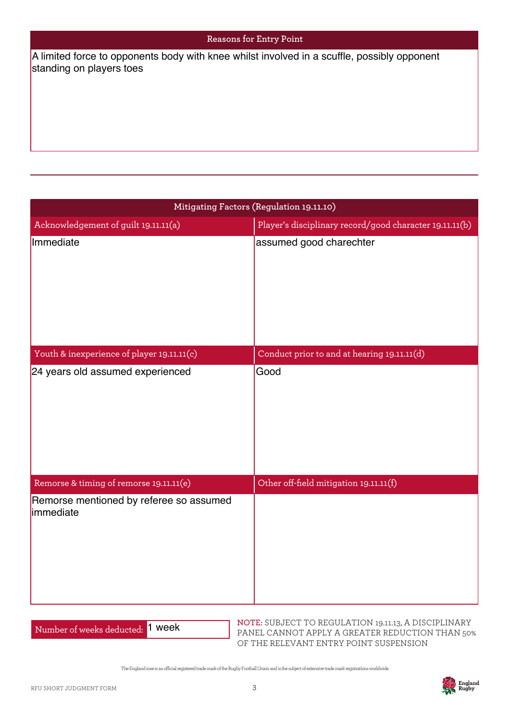#### **Reasons for Entry Point**

standing on players toes

| A limited force to opponents body with knee whilst involved in a scuffle, possibly opponent<br>standing on players toes |                                                                                    |  |  |
|-------------------------------------------------------------------------------------------------------------------------|------------------------------------------------------------------------------------|--|--|
|                                                                                                                         |                                                                                    |  |  |
|                                                                                                                         |                                                                                    |  |  |
|                                                                                                                         |                                                                                    |  |  |
|                                                                                                                         | Mitigating Factors (Regulation 19.11.10)                                           |  |  |
| Acknowledgement of guilt 19.11.11(a)<br>Immediate                                                                       | Player's disciplinary record/good character 19.11.11(b)<br>assumed good charechter |  |  |
|                                                                                                                         |                                                                                    |  |  |
| Youth & inexperience of player 19.11.11(c)                                                                              | Conduct prior to and at hearing 19.11.11(d)                                        |  |  |
| 24 years old assumed experienced                                                                                        | Good                                                                               |  |  |
| Remorse & timing of remorse 19.11.11(e)                                                                                 | Other off-field mitigation 19.11.11(f)                                             |  |  |
| Remorse mentioned by referee so assumed<br>immediate                                                                    |                                                                                    |  |  |

Number of weeks deducted: 1 week

**NOTE:** SUBJECT TO REGULATION 19.11.13, A DISCIPLINARY PANEL CANNOT APPLY A GREATER REDUCTION THAN 50% OF THE RELEVANT ENTRY POINT SUSPENSION

The England rose is an ocial registered trade mark of the Rugby Football Union and is the subject of extensive trade mark registrations worldwide.